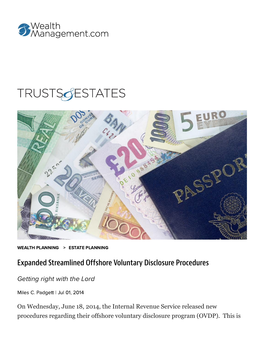

# **TRUSTSGESTATES**



WEALTH [PLANNING](https://www.wealthmanagement.com/wealth-planning/estate-planning) > ESTATE PLANNING

## Expanded Streamlined Offshore Voluntary Disclosure Procedures

#### Getting right with the Lord

Miles C. [Padgett](https://www.wealthmanagement.com/author/Miles-C.%20Padgett) | Jul 01, 2014

On Wednesday, June 18, 2014, the Internal Revenue Service released new procedures regarding their offshore voluntary disclosure program (OVDP). This is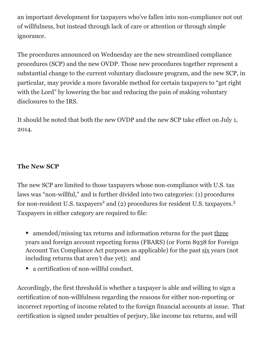an important development for taxpayers who've fallen into non-compliance not out of willfulness, but instead through lack of care or attention or through simple ignorance.

The procedures announced on Wednesday are the new streamlined compliance procedures (SCP) and the new OVDP. Those new procedures together represent a substantial change to the current voluntary disclosure program, and the new SCP, in particular, may provide a more favorable method for certain taxpayers to "get right with the Lord" by lowering the bar and reducing the pain of making voluntary disclosures to the IRS.

It should be noted that both the new OVDP and the new SCP take effect on July 1, 2014.

#### **The New SCP**

The new SCP are limited to those taxpayers whose non-compliance with U.S. tax laws was "non-willful," and is further divided into two categories: (1) procedures for non-resident U.S. taxpayers<sup>2</sup> and (2) procedures for resident U.S. taxpayers.<sup>3</sup> Taxpayers in either category are required to file:

• amended/missing tax returns and information returns for the past three years and foreign account reporting forms (FBARS) (or Form 8938 for Foreign Account Tax Compliance Act purposes as applicable) for the past six years (not including returns that aren't due yet); and

• a certification of non-willful conduct.

Accordingly, the first threshold is whether a taxpayer is able and willing to sign a certification of non-willfulness regarding the reasons for either non-reporting or incorrect reporting of income related to the foreign financial accounts at issue. That certification is signed under penalties of perjury, like income tax returns, and will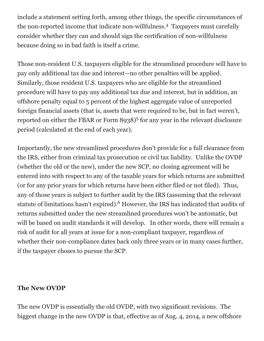include a statement setting forth, among other things, the specific circumstances of the non-reported income that indicate non-willfulness.<sup>4</sup> Taxpayers must carefully consider whether they can and should sign the certification of non-willfulness because doing so in bad faith is itself a crime.

Those non-resident U.S. taxpayers eligible for the streamlined procedure will have to pay only additional tax due and interest—no other penalties will be applied. Similarly, those resident U.S. taxpayers who are eligible for the streamlined procedure will have to pay any additional tax due and interest, but in addition, an offshore penalty equal to 5 percent of the highest aggregate value of unreported foreign financial assets (that is, assets that were required to be, but in fact weren't, reported on either the FBAR or Form 8938)<sup>5</sup> for any year in the relevant disclosure period (calculated at the end of each year).

Importantly, the new streamlined procedures don't provide for a full clearance from the IRS, either from criminal tax prosecution or civil tax liability. Unlike the OVDP (whether the old or the new), under the new SCP, no closing agreement will be entered into with respect to any of the taxable years for which returns are submitted (or for any prior years for which returns have been either filed or not filed). Thus, any of those years is subject to further audit by the IRS (assuming that the relevant statute of limitations hasn't expired). $6$  However, the IRS has indicated that audits of returns submitted under the new streamlined procedures won't be automatic, but will be based on audit standards it will develop. In other words, there will remain a risk of audit for all years at issue for a non-compliant taxpayer, regardless of whether their non-compliance dates back only three years or in many cases further, if the taxpayer choses to pursue the SCP.

#### **The New OVDP**

The new OVDP is essentially the old OVDP, with two significant revisions. The biggest change in the new OVDP is that, effective as of Aug. 4, 2014, a new offshore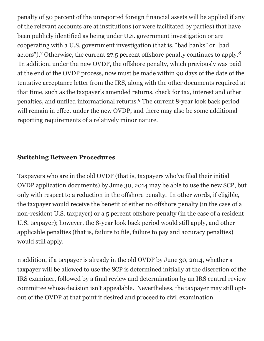penalty of 50 percent of the unreported foreign financial assets will be applied if any of the relevant accounts are at institutions (or were facilitated by parties) that have been publicly identified as being under U.S. government investigation or are cooperating with a U.S. government investigation (that is, "bad banks" or "bad actors").<sup>7</sup> Otherwise, the current 27.5 percent offshore penalty continues to apply.<sup>8</sup> In addition, under the new OVDP, the offshore penalty, which previously was paid at the end of the OVDP process, now must be made within 90 days of the date of the tentative acceptance letter from the IRS, along with the other documents required at that time, such as the taxpayer's amended returns, check for tax, interest and other penalties, and unfiled informational returns.<sup>9</sup> The current 8-year look back period will remain in effect under the new OVDP, and there may also be some additional reporting requirements of a relatively minor nature.

#### **Switching Between Procedures**

Taxpayers who are in the old OVDP (that is, taxpayers who've filed their initial OVDP application documents) by June 30, 2014 may be able to use the new SCP, but only with respect to a reduction in the offshore penalty. In other words, if eligible, the taxpayer would receive the benefit of either no offshore penalty (in the case of a non-resident U.S. taxpayer) or a 5 percent offshore penalty (in the case of a resident U.S. taxpayer); however, the 8-year look back period would still apply, and other applicable penalties (that is, failure to file, failure to pay and accuracy penalties) would still apply.

n addition, if a taxpayer is already in the old OVDP by June 30, 2014, whether a taxpayer will be allowed to use the SCP is determined initially at the discretion of the IRS examiner, followed by a final review and determination by an IRS central review committee whose decision isn't appealable. Nevertheless, the taxpayer may still optout of the OVDP at that point if desired and proceed to civil examination.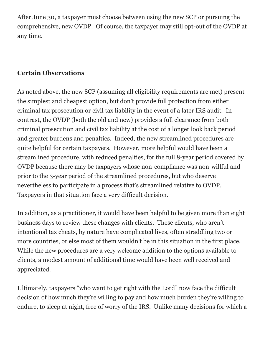After June 30, a taxpayer must choose between using the new SCP or pursuing the comprehensive, new OVDP. Of course, the taxpayer may still opt-out of the OVDP at any time.

#### **Certain Observations**

As noted above, the new SCP (assuming all eligibility requirements are met) present the simplest and cheapest option, but don't provide full protection from either criminal tax prosecution or civil tax liability in the event of a later IRS audit. In contrast, the OVDP (both the old and new) provides a full clearance from both criminal prosecution and civil tax liability at the cost of a longer look back period and greater burdens and penalties. Indeed, the new streamlined procedures are quite helpful for certain taxpayers. However, more helpful would have been a streamlined procedure, with reduced penalties, for the full 8-year period covered by OVDP because there may be taxpayers whose non-compliance was non-willful and prior to the 3-year period of the streamlined procedures, but who deserve nevertheless to participate in a process that's streamlined relative to OVDP. Taxpayers in that situation face a very difficult decision.

In addition, as a practitioner, it would have been helpful to be given more than eight business days to review these changes with clients. These clients, who aren't intentional tax cheats, by nature have complicated lives, often straddling two or more countries, or else most of them wouldn't be in this situation in the first place. While the new procedures are a very welcome addition to the options available to clients, a modest amount of additional time would have been well received and appreciated.

Ultimately, taxpayers "who want to get right with the Lord" now face the difficult decision of how much they're willing to pay and how much burden they're willing to endure, to sleep at night, free of worry of the IRS. Unlike many decisions for which a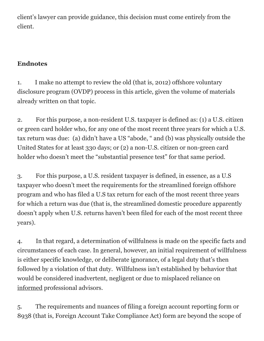client's lawyer can provide guidance, this decision must come entirely from the client.

### **Endnotes**

1. I make no attempt to review the old (that is, 2012) offshore voluntary disclosure program (OVDP) process in this article, given the volume of materials already written on that topic.

2. For this purpose, a non-resident U.S. taxpayer is defined as: (1) a U.S. citizen or green card holder who, for any one of the most recent three years for which a U.S. tax return was due: (a) didn't have a US "abode, " and (b) was physically outside the United States for at least 330 days; or (2) a non-U.S. citizen or non-green card holder who doesn't meet the "substantial presence test" for that same period.

3. For this purpose, a U.S. resident taxpayer is defined, in essence, as a U.S taxpayer who doesn't meet the requirements for the streamlined foreign offshore program and who has filed a U.S tax return for each of the most recent three years for which a return was due (that is, the streamlined domestic procedure apparently doesn't apply when U.S. returns haven't been filed for each of the most recent three years).

4. In that regard, a determination of willfulness is made on the specific facts and circumstances of each case. In general, however, an initial requirement of willfulness is either specific knowledge, or deliberate ignorance, of a legal duty that's then followed by a violation of that duty. Willfulness isn't established by behavior that would be considered inadvertent, negligent or due to misplaced reliance on informed professional advisors.

5. The requirements and nuances of filing a foreign account reporting form or 8938 (that is, Foreign Account Take Compliance Act) form are beyond the scope of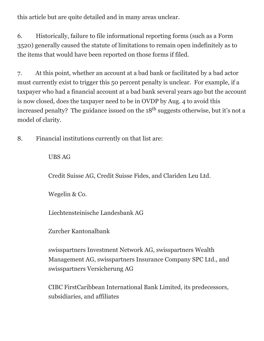this article but are quite detailed and in many areas unclear.

6. Historically, failure to file informational reporting forms (such as a Form 3520) generally caused the statute of limitations to remain open indefinitely as to the items that would have been reported on those forms if filed.

7. At this point, whether an account at a bad bank or facilitated by a bad actor must currently exist to trigger this 50 percent penalty is unclear. For example, if a taxpayer who had a financial account at a bad bank several years ago but the account is now closed, does the taxpayer need to be in OVDP by Aug. 4 to avoid this increased penalty? The guidance issued on the  $18<sup>th</sup>$  suggests otherwise, but it's not a model of clarity.

8. Financial institutions currently on that list are:

UBS AG

Credit Suisse AG, Credit Suisse Fides, and Clariden Leu Ltd.

Wegelin & Co.

Liechtensteinische Landesbank AG

Zurcher Kantonalbank

swisspartners Investment Network AG, swisspartners Wealth Management AG, swisspartners Insurance Company SPC Ltd., and swisspartners Versicherung AG

CIBC FirstCaribbean International Bank Limited, its predecessors, subsidiaries, and affiliates